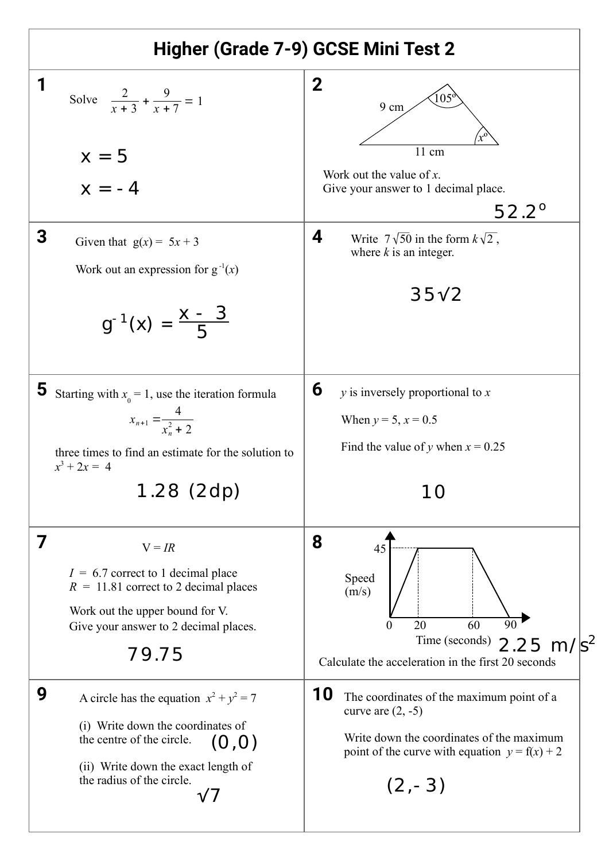| Higher (Grade 7-9) GCSE Mini Test 2                                                                                                                                                                   |                                                                                                                                                                                     |
|-------------------------------------------------------------------------------------------------------------------------------------------------------------------------------------------------------|-------------------------------------------------------------------------------------------------------------------------------------------------------------------------------------|
| 1<br>Solve $\frac{2}{r+3} + \frac{9}{r+7} = 1$                                                                                                                                                        | 2<br>105<br>9 cm                                                                                                                                                                    |
| $x = 5$<br>$x = -4$                                                                                                                                                                                   | $\overline{1}1$ cm<br>Work out the value of $x$ .<br>Give your answer to 1 decimal place.<br>$52.2^{\circ}$                                                                         |
| 3<br>Given that $g(x) = 5x + 3$<br>Work out an expression for $g^{-1}(x)$<br>$g^{-1}(x) = \frac{x - 3}{5}$                                                                                            | 4<br>Write $7\sqrt{50}$ in the form $k\sqrt{2}$ ,<br>where $k$ is an integer.<br>35 <sub>v</sub> 2                                                                                  |
| 5<br>Starting with $x_0 = 1$ , use the iteration formula<br>$x_{n+1} = \frac{4}{x_n^2 + 2}$<br>three times to find an estimate for the solution to<br>$x^3 + 2x = 4$<br>$1.28$ (2dp)                  | 6<br>$y$ is inversely proportional to $x$<br>When $y = 5$ , $x = 0.5$<br>Find the value of y when $x = 0.25$                                                                        |
| 7<br>$V = IR$<br>$I = 6.7$ correct to 1 decimal place<br>$R = 11.81$ correct to 2 decimal places<br>Work out the upper bound for V.<br>Give your answer to 2 decimal places.<br>79.75                 | 8<br>45<br>Speed<br>(m/s)<br>$\overline{90}$<br>20<br>60<br>0<br>Time (seconds)<br>2.25 m/s <sup>2</sup><br>Calculate the acceleration in the first 20 seconds                      |
| 9<br>A circle has the equation $x^2 + y^2 = 7$<br>(i) Write down the coordinates of<br>the centre of the circle.<br>(O, O)<br>(ii) Write down the exact length of<br>the radius of the circle.<br>V 7 | 10<br>The coordinates of the maximum point of a<br>curve are $(2, -5)$<br>Write down the coordinates of the maximum<br>point of the curve with equation $y = f(x) + 2$<br>$(2, -3)$ |